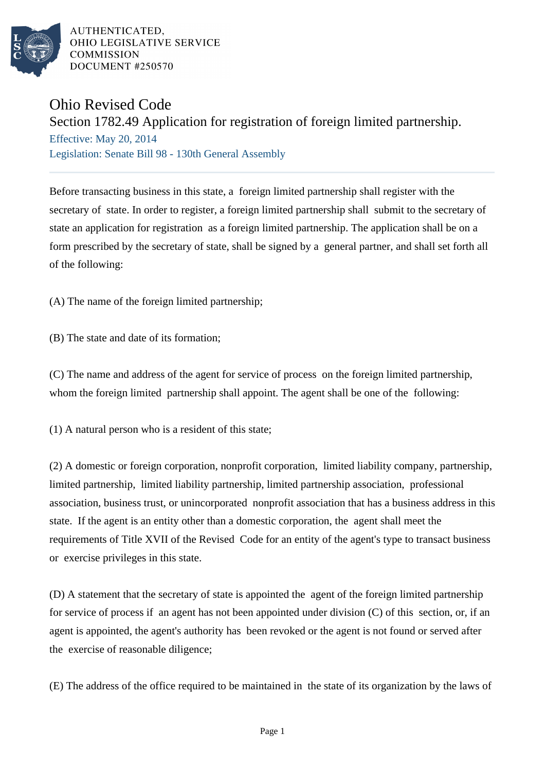

AUTHENTICATED. OHIO LEGISLATIVE SERVICE **COMMISSION** DOCUMENT #250570

## Ohio Revised Code

## Section 1782.49 Application for registration of foreign limited partnership.

Effective: May 20, 2014 Legislation: Senate Bill 98 - 130th General Assembly

Before transacting business in this state, a foreign limited partnership shall register with the secretary of state. In order to register, a foreign limited partnership shall submit to the secretary of state an application for registration as a foreign limited partnership. The application shall be on a form prescribed by the secretary of state, shall be signed by a general partner, and shall set forth all of the following:

(A) The name of the foreign limited partnership;

(B) The state and date of its formation;

(C) The name and address of the agent for service of process on the foreign limited partnership, whom the foreign limited partnership shall appoint. The agent shall be one of the following:

(1) A natural person who is a resident of this state;

(2) A domestic or foreign corporation, nonprofit corporation, limited liability company, partnership, limited partnership, limited liability partnership, limited partnership association, professional association, business trust, or unincorporated nonprofit association that has a business address in this state. If the agent is an entity other than a domestic corporation, the agent shall meet the requirements of Title XVII of the Revised Code for an entity of the agent's type to transact business or exercise privileges in this state.

(D) A statement that the secretary of state is appointed the agent of the foreign limited partnership for service of process if an agent has not been appointed under division (C) of this section, or, if an agent is appointed, the agent's authority has been revoked or the agent is not found or served after the exercise of reasonable diligence;

(E) The address of the office required to be maintained in the state of its organization by the laws of